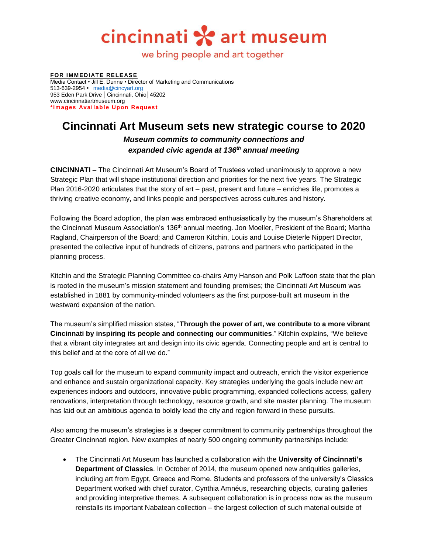cincinnati \* art museum

we bring people and art together

**FOR IMMEDIATE RELEASE** Media Contact • Jill E. Dunne • Director of Marketing and Communications 513-639-2954 **•** [media@cincyart.org](mailto:media@cincyart.org) 953 Eden Park Drive | Cincinnati, Ohio | 45202 www.cincinnatiartmuseum.org \*Images Available Upon Request

## **Cincinnati Art Museum sets new strategic course to 2020** *Museum commits to community connections and expanded civic agenda at 136th annual meeting*

**CINCINNATI** – The Cincinnati Art Museum's Board of Trustees voted unanimously to approve a new Strategic Plan that will shape institutional direction and priorities for the next five years. The Strategic Plan 2016-2020 articulates that the story of art – past, present and future – enriches life, promotes a thriving creative economy, and links people and perspectives across cultures and history.

Following the Board adoption, the plan was embraced enthusiastically by the museum's Shareholders at the Cincinnati Museum Association's 136th annual meeting. Jon Moeller, President of the Board; Martha Ragland, Chairperson of the Board; and Cameron Kitchin, Louis and Louise Dieterle Nippert Director, presented the collective input of hundreds of citizens, patrons and partners who participated in the planning process.

Kitchin and the Strategic Planning Committee co-chairs Amy Hanson and Polk Laffoon state that the plan is rooted in the museum's mission statement and founding premises; the Cincinnati Art Museum was established in 1881 by community-minded volunteers as the first purpose-built art museum in the westward expansion of the nation.

The museum's simplified mission states, "**Through the power of art, we contribute to a more vibrant Cincinnati by inspiring its people and connecting our communities**." Kitchin explains, "We believe that a vibrant city integrates art and design into its civic agenda. Connecting people and art is central to this belief and at the core of all we do."

Top goals call for the museum to expand community impact and outreach, enrich the visitor experience and enhance and sustain organizational capacity. Key strategies underlying the goals include new art experiences indoors and outdoors, innovative public programming, expanded collections access, gallery renovations, interpretation through technology, resource growth, and site master planning. The museum has laid out an ambitious agenda to boldly lead the city and region forward in these pursuits.

Also among the museum's strategies is a deeper commitment to community partnerships throughout the Greater Cincinnati region. New examples of nearly 500 ongoing community partnerships include:

 The Cincinnati Art Museum has launched a collaboration with the **University of Cincinnati's Department of Classics**. In October of 2014, the museum opened new antiquities galleries, including art from Egypt, Greece and Rome. Students and professors of the university's Classics Department worked with chief curator, Cynthia Amnéus, researching objects, curating galleries and providing interpretive themes. A subsequent collaboration is in process now as the museum reinstalls its important Nabatean collection – the largest collection of such material outside of